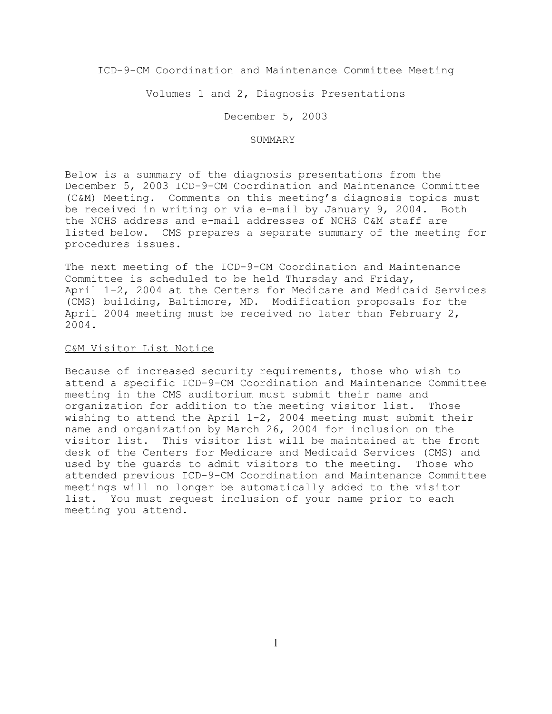ICD-9-CM Coordination and Maintenance Committee Meeting

Volumes 1 and 2, Diagnosis Presentations

December 5, 2003

#### SUMMARY

Below is a summary of the diagnosis presentations from the December 5, 2003 ICD-9-CM Coordination and Maintenance Committee (C&M) Meeting. Comments on this meeting's diagnosis topics must be received in writing or via e-mail by January 9, 2004. Both the NCHS address and e-mail addresses of NCHS C&M staff are listed below. CMS prepares a separate summary of the meeting for procedures issues.

The next meeting of the ICD-9-CM Coordination and Maintenance Committee is scheduled to be held Thursday and Friday, April 1-2, 2004 at the Centers for Medicare and Medicaid Services (CMS) building, Baltimore, MD. Modification proposals for the April 2004 meeting must be received no later than February 2, 2004.

# C&M Visitor List Notice

Because of increased security requirements, those who wish to attend a specific ICD-9-CM Coordination and Maintenance Committee meeting in the CMS auditorium must submit their name and organization for addition to the meeting visitor list. Those wishing to attend the April 1-2, 2004 meeting must submit their name and organization by March 26, 2004 for inclusion on the visitor list. This visitor list will be maintained at the front desk of the Centers for Medicare and Medicaid Services (CMS) and used by the guards to admit visitors to the meeting. Those who attended previous ICD-9-CM Coordination and Maintenance Committee meetings will no longer be automatically added to the visitor list. You must request inclusion of your name prior to each meeting you attend.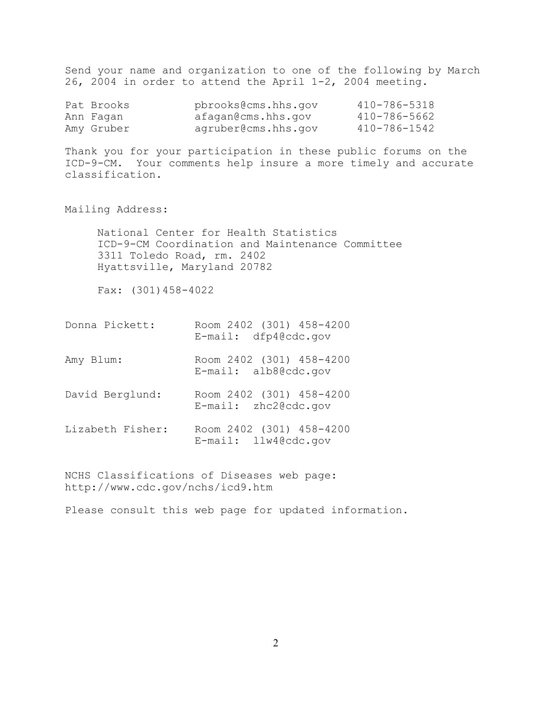Send your name and organization to one of the following by March 26, 2004 in order to attend the April 1-2, 2004 meeting.

| Pat Brooks | pbrooks@cms.hhs.qov | 410-786-5318 |
|------------|---------------------|--------------|
| Ann Faqan  | afagan@cms.hhs.gov  | 410-786-5662 |
| Amy Gruber | agruber@cms.hhs.gov | 410-786-1542 |

Thank you for your participation in these public forums on the ICD-9-CM. Your comments help insure a more timely and accurate classification.

Mailing Address:

National Center for Health Statistics ICD-9-CM Coordination and Maintenance Committee 3311 Toledo Road, rm. 2402 Hyattsville, Maryland 20782

Fax: (301)458-4022

- Donna Pickett: Room 2402 (301) 458-4200 E-mail: dfp4@cdc.gov
- Amy Blum: Room 2402 (301) 458-4200 E-mail: alb8@cdc.gov
- David Berglund: Room 2402 (301) 458-4200 E-mail: zhc2@cdc.gov
- Lizabeth Fisher: Room 2402 (301) 458-4200 E-mail: llw4@cdc.gov

NCHS Classifications of Diseases web page: http://www.cdc.gov/nchs/icd9.htm

Please consult this web page for updated information.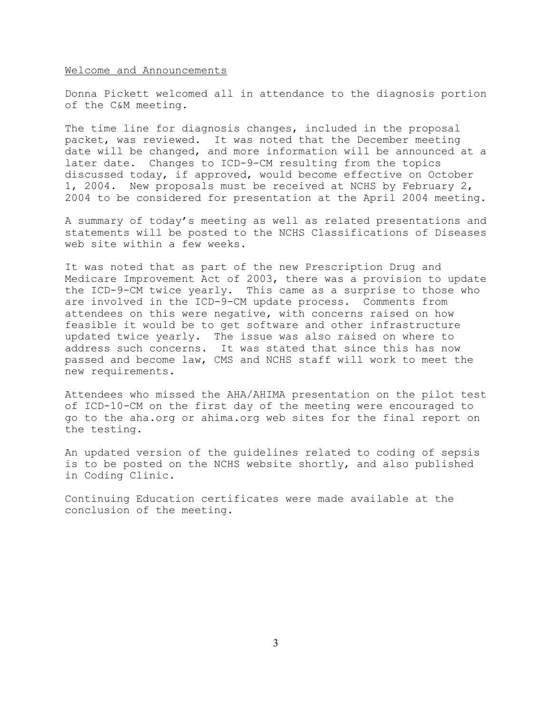### Welcome and Announcements

Donna Pickett welcomed all in attendance to the diagnosis portion of the C&M meeting.

The time line for diagnosis changes, included in the proposal packet, was reviewed. It was noted that the December meeting date will be changed, and more information will be announced at a later date. Changes to ICD-9-CM resulting from the topics discussed today, if approved, would become effective on October 1, 2004. New proposals must be received at NCHS by February 2, 2004 to be considered for presentation at the April 2004 meeting.

A summary of today's meeting as well as related presentations and statements will be posted to the NCHS Classifications of Diseases web site within a few weeks.

It was noted that as part of the new Prescription Drug and Medicare Improvement Act of 2003, there was a provision to update the ICD-9-CM twice yearly. This came as a surprise to those who are involved in the ICD-9-CM update process. Comments from attendees on this were negative, with concerns raised on how feasible it would be to get software and other infrastructure updated twice yearly. The issue was also raised on where to address such concerns. It was stated that since this has now passed and become law, CMS and NCHS staff will work to meet the new requirements.

Attendees who missed the AHA/AHIMA presentation on the pilot test of ICD-10-CM on the first day of the meeting were encouraged to go to the aha.org or ahima.org web sites for the final report on the testing.

An updated version of the guidelines related to coding of sepsis is to be posted on the NCHS website shortly, and also published in Coding Clinic.

Continuing Education certificates were made available at the conclusion of the meeting.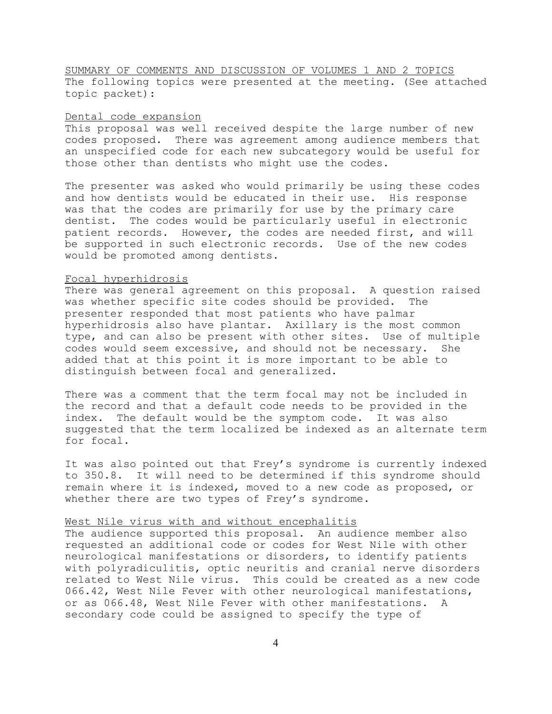SUMMARY OF COMMENTS AND DISCUSSION OF VOLUMES 1 AND 2 TOPICS The following topics were presented at the meeting. (See attached topic packet):

### Dental code expansion

This proposal was well received despite the large number of new codes proposed. There was agreement among audience members that an unspecified code for each new subcategory would be useful for those other than dentists who might use the codes.

The presenter was asked who would primarily be using these codes and how dentists would be educated in their use. His response was that the codes are primarily for use by the primary care dentist. The codes would be particularly useful in electronic patient records. However, the codes are needed first, and will be supported in such electronic records. Use of the new codes would be promoted among dentists.

## Focal hyperhidrosis

There was general agreement on this proposal. A question raised was whether specific site codes should be provided. The presenter responded that most patients who have palmar hyperhidrosis also have plantar. Axillary is the most common type, and can also be present with other sites. Use of multiple codes would seem excessive, and should not be necessary. She added that at this point it is more important to be able to distinguish between focal and generalized.

There was a comment that the term focal may not be included in the record and that a default code needs to be provided in the index. The default would be the symptom code. It was also suggested that the term localized be indexed as an alternate term for focal.

It was also pointed out that Frey's syndrome is currently indexed to 350.8. It will need to be determined if this syndrome should remain where it is indexed, moved to a new code as proposed, or whether there are two types of Frey's syndrome.

## West Nile virus with and without encephalitis

The audience supported this proposal. An audience member also requested an additional code or codes for West Nile with other neurological manifestations or disorders, to identify patients with polyradiculitis, optic neuritis and cranial nerve disorders related to West Nile virus. This could be created as a new code 066.42, West Nile Fever with other neurological manifestations, or as 066.48, West Nile Fever with other manifestations. A secondary code could be assigned to specify the type of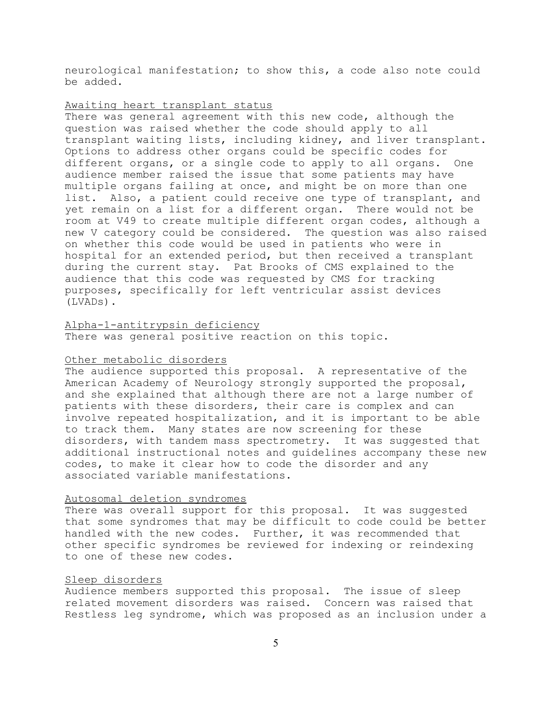neurological manifestation; to show this, a code also note could be added.

## Awaiting heart transplant status

There was general agreement with this new code, although the question was raised whether the code should apply to all transplant waiting lists, including kidney, and liver transplant. Options to address other organs could be specific codes for different organs, or a single code to apply to all organs. One audience member raised the issue that some patients may have multiple organs failing at once, and might be on more than one list. Also, a patient could receive one type of transplant, and yet remain on a list for a different organ. There would not be room at V49 to create multiple different organ codes, although a new V category could be considered. The question was also raised on whether this code would be used in patients who were in hospital for an extended period, but then received a transplant during the current stay. Pat Brooks of CMS explained to the audience that this code was requested by CMS for tracking purposes, specifically for left ventricular assist devices (LVADs).

## Alpha-1-antitrypsin deficiency

There was general positive reaction on this topic.

### Other metabolic disorders

The audience supported this proposal. A representative of the American Academy of Neurology strongly supported the proposal, and she explained that although there are not a large number of patients with these disorders, their care is complex and can involve repeated hospitalization, and it is important to be able to track them. Many states are now screening for these disorders, with tandem mass spectrometry. It was suggested that additional instructional notes and guidelines accompany these new codes, to make it clear how to code the disorder and any associated variable manifestations.

### Autosomal deletion syndromes

There was overall support for this proposal. It was suggested that some syndromes that may be difficult to code could be better handled with the new codes. Further, it was recommended that other specific syndromes be reviewed for indexing or reindexing to one of these new codes.

# Sleep disorders

Audience members supported this proposal. The issue of sleep related movement disorders was raised. Concern was raised that Restless leg syndrome, which was proposed as an inclusion under a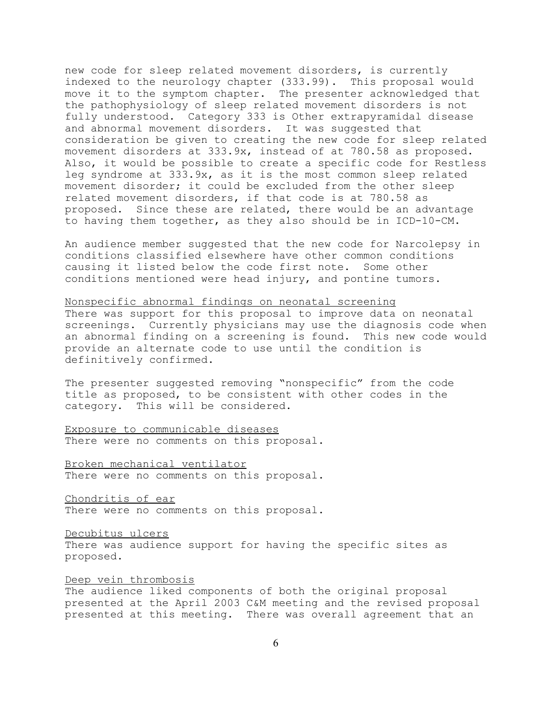new code for sleep related movement disorders, is currently indexed to the neurology chapter (333.99). This proposal would move it to the symptom chapter. The presenter acknowledged that the pathophysiology of sleep related movement disorders is not fully understood. Category 333 is Other extrapyramidal disease and abnormal movement disorders. It was suggested that consideration be given to creating the new code for sleep related movement disorders at 333.9x, instead of at 780.58 as proposed. Also, it would be possible to create a specific code for Restless leg syndrome at 333.9x, as it is the most common sleep related movement disorder; it could be excluded from the other sleep related movement disorders, if that code is at 780.58 as proposed. Since these are related, there would be an advantage to having them together, as they also should be in ICD-10-CM.

An audience member suggested that the new code for Narcolepsy in conditions classified elsewhere have other common conditions causing it listed below the code first note. Some other conditions mentioned were head injury, and pontine tumors.

# Nonspecific abnormal findings on neonatal screening

There was support for this proposal to improve data on neonatal screenings. Currently physicians may use the diagnosis code when an abnormal finding on a screening is found. This new code would provide an alternate code to use until the condition is definitively confirmed.

The presenter suggested removing "nonspecific" from the code title as proposed, to be consistent with other codes in the category. This will be considered.

Exposure to communicable diseases There were no comments on this proposal.

Broken mechanical ventilator There were no comments on this proposal.

Chondritis of ear There were no comments on this proposal.

Decubitus ulcers

There was audience support for having the specific sites as proposed.

Deep vein thrombosis

The audience liked components of both the original proposal presented at the April 2003 C&M meeting and the revised proposal presented at this meeting. There was overall agreement that an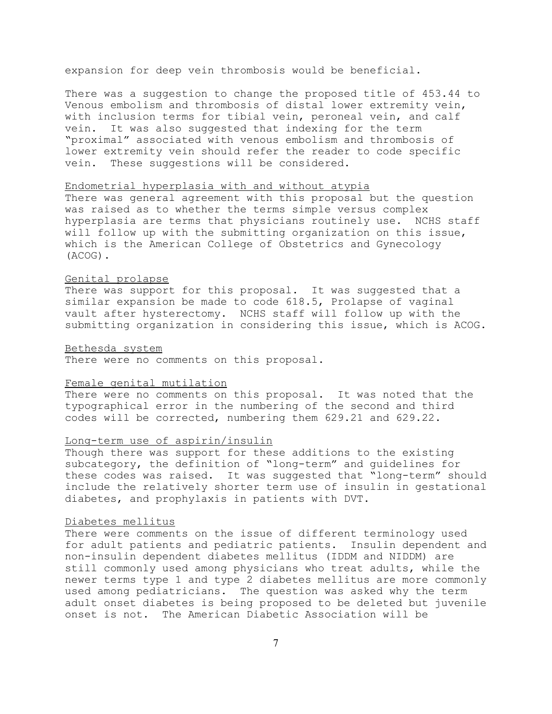expansion for deep vein thrombosis would be beneficial.

There was a suggestion to change the proposed title of 453.44 to Venous embolism and thrombosis of distal lower extremity vein, with inclusion terms for tibial vein, peroneal vein, and calf vein. It was also suggested that indexing for the term "proximal" associated with venous embolism and thrombosis of lower extremity vein should refer the reader to code specific vein. These suggestions will be considered.

## Endometrial hyperplasia with and without atypia

There was general agreement with this proposal but the question was raised as to whether the terms simple versus complex hyperplasia are terms that physicians routinely use. NCHS staff will follow up with the submitting organization on this issue, which is the American College of Obstetrics and Gynecology (ACOG).

## Genital prolapse

There was support for this proposal. It was suggested that a similar expansion be made to code 618.5, Prolapse of vaginal vault after hysterectomy. NCHS staff will follow up with the submitting organization in considering this issue, which is ACOG.

### Bethesda system

There were no comments on this proposal.

### Female genital mutilation

There were no comments on this proposal. It was noted that the typographical error in the numbering of the second and third codes will be corrected, numbering them 629.21 and 629.22.

# Long-term use of aspirin/insulin

Though there was support for these additions to the existing subcategory, the definition of "long-term" and guidelines for these codes was raised. It was suggested that "long-term" should include the relatively shorter term use of insulin in gestational diabetes, and prophylaxis in patients with DVT.

## Diabetes mellitus

There were comments on the issue of different terminology used for adult patients and pediatric patients. Insulin dependent and non-insulin dependent diabetes mellitus (IDDM and NIDDM) are still commonly used among physicians who treat adults, while the newer terms type 1 and type 2 diabetes mellitus are more commonly used among pediatricians. The question was asked why the term adult onset diabetes is being proposed to be deleted but juvenile onset is not. The American Diabetic Association will be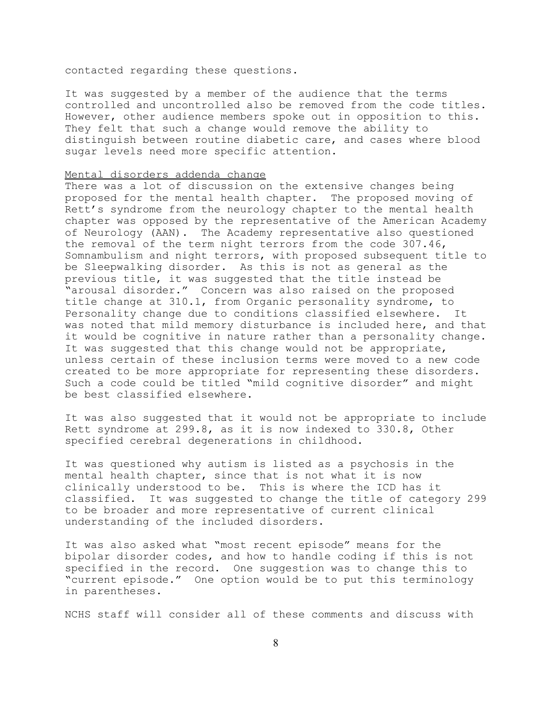contacted regarding these questions.

It was suggested by a member of the audience that the terms controlled and uncontrolled also be removed from the code titles. However, other audience members spoke out in opposition to this. They felt that such a change would remove the ability to distinguish between routine diabetic care, and cases where blood sugar levels need more specific attention.

## Mental disorders addenda change

There was a lot of discussion on the extensive changes being proposed for the mental health chapter. The proposed moving of Rett's syndrome from the neurology chapter to the mental health chapter was opposed by the representative of the American Academy of Neurology (AAN). The Academy representative also questioned the removal of the term night terrors from the code 307.46, Somnambulism and night terrors, with proposed subsequent title to be Sleepwalking disorder. As this is not as general as the previous title, it was suggested that the title instead be "arousal disorder." Concern was also raised on the proposed title change at 310.1, from Organic personality syndrome, to Personality change due to conditions classified elsewhere. It was noted that mild memory disturbance is included here, and that it would be cognitive in nature rather than a personality change. It was suggested that this change would not be appropriate, unless certain of these inclusion terms were moved to a new code created to be more appropriate for representing these disorders. Such a code could be titled "mild cognitive disorder" and might be best classified elsewhere.

It was also suggested that it would not be appropriate to include Rett syndrome at 299.8, as it is now indexed to 330.8, Other specified cerebral degenerations in childhood.

It was questioned why autism is listed as a psychosis in the mental health chapter, since that is not what it is now clinically understood to be. This is where the ICD has it classified. It was suggested to change the title of category 299 to be broader and more representative of current clinical understanding of the included disorders.

It was also asked what "most recent episode" means for the bipolar disorder codes, and how to handle coding if this is not specified in the record. One suggestion was to change this to "current episode." One option would be to put this terminology in parentheses.

NCHS staff will consider all of these comments and discuss with